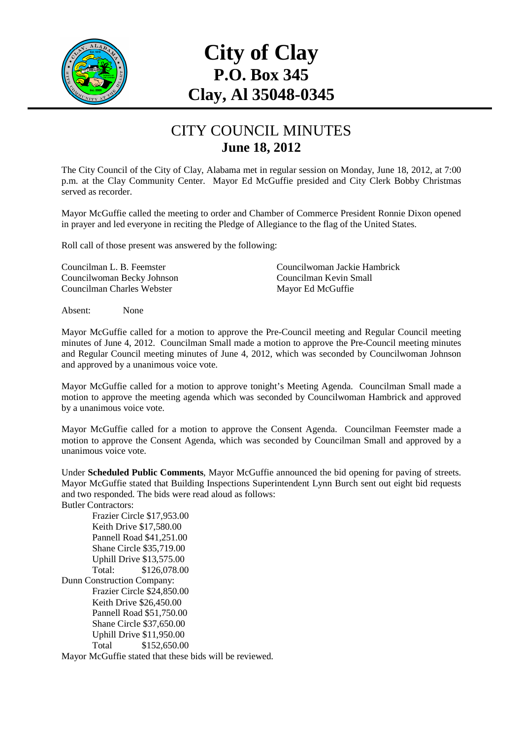

# **City of Clay P.O. Box 345 Clay, Al 35048-0345**

#### CITY COUNCIL MINUTES **June 18, 2012**

The City Council of the City of Clay, Alabama met in regular session on Monday, June 18, 2012, at 7:00 p.m. at the Clay Community Center. Mayor Ed McGuffie presided and City Clerk Bobby Christmas served as recorder.

Mayor McGuffie called the meeting to order and Chamber of Commerce President Ronnie Dixon opened in prayer and led everyone in reciting the Pledge of Allegiance to the flag of the United States.

Roll call of those present was answered by the following:

Councilwoman Becky Johnson Councilman Kevin Small Councilman Charles Webster Mayor Ed McGuffie

Councilman L. B. Feemster Councilwoman Jackie Hambrick

Absent: None

Mayor McGuffie called for a motion to approve the Pre-Council meeting and Regular Council meeting minutes of June 4, 2012. Councilman Small made a motion to approve the Pre-Council meeting minutes and Regular Council meeting minutes of June 4, 2012, which was seconded by Councilwoman Johnson and approved by a unanimous voice vote.

Mayor McGuffie called for a motion to approve tonight's Meeting Agenda. Councilman Small made a motion to approve the meeting agenda which was seconded by Councilwoman Hambrick and approved by a unanimous voice vote.

Mayor McGuffie called for a motion to approve the Consent Agenda. Councilman Feemster made a motion to approve the Consent Agenda, which was seconded by Councilman Small and approved by a unanimous voice vote.

Under **Scheduled Public Comments**, Mayor McGuffie announced the bid opening for paving of streets. Mayor McGuffie stated that Building Inspections Superintendent Lynn Burch sent out eight bid requests and two responded. The bids were read aloud as follows: Butler Contractors:

 Frazier Circle \$17,953.00 Keith Drive \$17,580.00 Pannell Road \$41,251.00 Shane Circle \$35,719.00 Uphill Drive \$13,575.00 Total: \$126,078.00 Dunn Construction Company: Frazier Circle \$24,850.00 Keith Drive \$26,450.00 Pannell Road \$51,750.00 Shane Circle \$37,650.00 Uphill Drive \$11,950.00 Total \$152,650.00

Mayor McGuffie stated that these bids will be reviewed.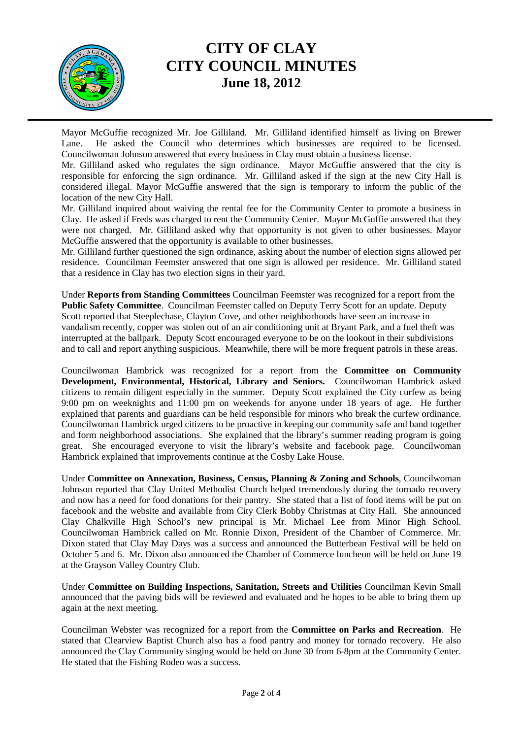

### **CITY OF CLAY CITY COUNCIL MINUTES June 18, 2012**

Mayor McGuffie recognized Mr. Joe Gilliland. Mr. Gilliland identified himself as living on Brewer Lane. He asked the Council who determines which businesses are required to be licensed. Councilwoman Johnson answered that every business in Clay must obtain a business license.

Mr. Gilliland asked who regulates the sign ordinance. Mayor McGuffie answered that the city is responsible for enforcing the sign ordinance. Mr. Gilliland asked if the sign at the new City Hall is considered illegal. Mayor McGuffie answered that the sign is temporary to inform the public of the location of the new City Hall.

Mr. Gilliland inquired about waiving the rental fee for the Community Center to promote a business in Clay. He asked if Freds was charged to rent the Community Center. Mayor McGuffie answered that they were not charged. Mr. Gilliland asked why that opportunity is not given to other businesses. Mayor McGuffie answered that the opportunity is available to other businesses.

Mr. Gilliland further questioned the sign ordinance, asking about the number of election signs allowed per residence. Councilman Feemster answered that one sign is allowed per residence. Mr. Gilliland stated that a residence in Clay has two election signs in their yard.

Under **Reports from Standing Committees** Councilman Feemster was recognized for a report from the **Public Safety Committee**. Councilman Feemster called on Deputy Terry Scott for an update. Deputy Scott reported that Steeplechase, Clayton Cove, and other neighborhoods have seen an increase in vandalism recently, copper was stolen out of an air conditioning unit at Bryant Park, and a fuel theft was interrupted at the ballpark. Deputy Scott encouraged everyone to be on the lookout in their subdivisions and to call and report anything suspicious. Meanwhile, there will be more frequent patrols in these areas.

Councilwoman Hambrick was recognized for a report from the **Committee on Community Development, Environmental, Historical, Library and Seniors.** Councilwoman Hambrick asked citizens to remain diligent especially in the summer. Deputy Scott explained the City curfew as being 9:00 pm on weeknights and 11:00 pm on weekends for anyone under 18 years of age. He further explained that parents and guardians can be held responsible for minors who break the curfew ordinance. Councilwoman Hambrick urged citizens to be proactive in keeping our community safe and band together and form neighborhood associations. She explained that the library's summer reading program is going great. She encouraged everyone to visit the library's website and facebook page. Councilwoman Hambrick explained that improvements continue at the Cosby Lake House.

Under **Committee on Annexation, Business, Census, Planning & Zoning and Schools**, Councilwoman Johnson reported that Clay United Methodist Church helped tremendously during the tornado recovery and now has a need for food donations for their pantry. She stated that a list of food items will be put on facebook and the website and available from City Clerk Bobby Christmas at City Hall. She announced Clay Chalkville High School's new principal is Mr. Michael Lee from Minor High School. Councilwoman Hambrick called on Mr. Ronnie Dixon, President of the Chamber of Commerce. Mr. Dixon stated that Clay May Days was a success and announced the Butterbean Festival will be held on October 5 and 6. Mr. Dixon also announced the Chamber of Commerce luncheon will be held on June 19 at the Grayson Valley Country Club.

Under **Committee on Building Inspections, Sanitation, Streets and Utilities** Councilman Kevin Small announced that the paving bids will be reviewed and evaluated and he hopes to be able to bring them up again at the next meeting.

Councilman Webster was recognized for a report from the **Committee on Parks and Recreation**. He stated that Clearview Baptist Church also has a food pantry and money for tornado recovery. He also announced the Clay Community singing would be held on June 30 from 6-8pm at the Community Center. He stated that the Fishing Rodeo was a success.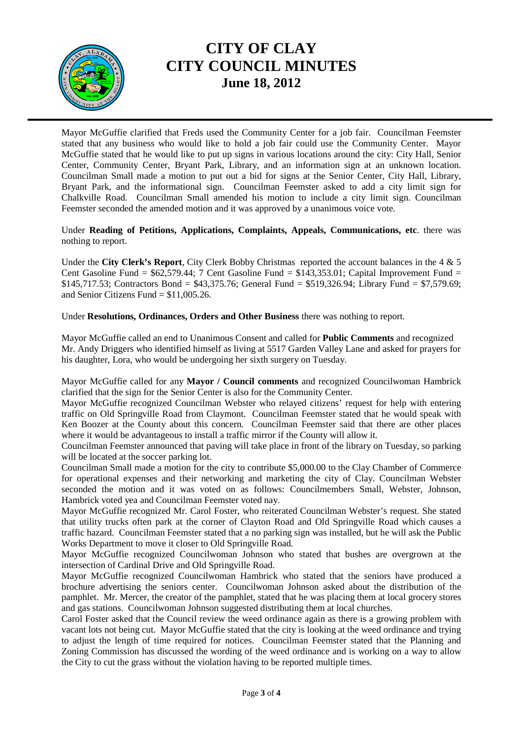

# **CITY OF CLAY CITY COUNCIL MINUTES June 18, 2012**

Mayor McGuffie clarified that Freds used the Community Center for a job fair. Councilman Feemster stated that any business who would like to hold a job fair could use the Community Center. Mayor McGuffie stated that he would like to put up signs in various locations around the city: City Hall, Senior Center, Community Center, Bryant Park, Library, and an information sign at an unknown location. Councilman Small made a motion to put out a bid for signs at the Senior Center, City Hall, Library, Bryant Park, and the informational sign. Councilman Feemster asked to add a city limit sign for Chalkville Road. Councilman Small amended his motion to include a city limit sign. Councilman Feemster seconded the amended motion and it was approved by a unanimous voice vote.

Under **Reading of Petitions, Applications, Complaints, Appeals, Communications, etc**. there was nothing to report.

Under the **City Clerk's Report**, City Clerk Bobby Christmas reported the account balances in the 4 & 5 Cent Gasoline Fund =  $$62,579.44$ ; 7 Cent Gasoline Fund =  $$143,353.01$ ; Capital Improvement Fund = \$145,717.53; Contractors Bond = \$43,375.76; General Fund = \$519,326.94; Library Fund = \$7,579.69; and Senior Citizens Fund  $= $11,005,26$ .

Under **Resolutions, Ordinances, Orders and Other Business** there was nothing to report.

Mayor McGuffie called an end to Unanimous Consent and called for **Public Comments** and recognized Mr. Andy Driggers who identified himself as living at 5517 Garden Valley Lane and asked for prayers for his daughter, Lora, who would be undergoing her sixth surgery on Tuesday.

Mayor McGuffie called for any **Mayor / Council comments** and recognized Councilwoman Hambrick clarified that the sign for the Senior Center is also for the Community Center.

Mayor McGuffie recognized Councilman Webster who relayed citizens' request for help with entering traffic on Old Springville Road from Claymont. Councilman Feemster stated that he would speak with Ken Boozer at the County about this concern. Councilman Feemster said that there are other places where it would be advantageous to install a traffic mirror if the County will allow it.

Councilman Feemster announced that paving will take place in front of the library on Tuesday, so parking will be located at the soccer parking lot.

Councilman Small made a motion for the city to contribute \$5,000.00 to the Clay Chamber of Commerce for operational expenses and their networking and marketing the city of Clay. Councilman Webster seconded the motion and it was voted on as follows: Councilmembers Small, Webster, Johnson, Hambrick voted yea and Councilman Feemster voted nay.

Mayor McGuffie recognized Mr. Carol Foster, who reiterated Councilman Webster's request. She stated that utility trucks often park at the corner of Clayton Road and Old Springville Road which causes a traffic hazard. Councilman Feemster stated that a no parking sign was installed, but he will ask the Public Works Department to move it closer to Old Springville Road.

Mayor McGuffie recognized Councilwoman Johnson who stated that bushes are overgrown at the intersection of Cardinal Drive and Old Springville Road.

Mayor McGuffie recognized Councilwoman Hambrick who stated that the seniors have produced a brochure advertising the seniors center. Councilwoman Johnson asked about the distribution of the pamphlet. Mr. Mercer, the creator of the pamphlet, stated that he was placing them at local grocery stores and gas stations. Councilwoman Johnson suggested distributing them at local churches.

Carol Foster asked that the Council review the weed ordinance again as there is a growing problem with vacant lots not being cut. Mayor McGuffie stated that the city is looking at the weed ordinance and trying to adjust the length of time required for notices. Councilman Feemster stated that the Planning and Zoning Commission has discussed the wording of the weed ordinance and is working on a way to allow the City to cut the grass without the violation having to be reported multiple times.